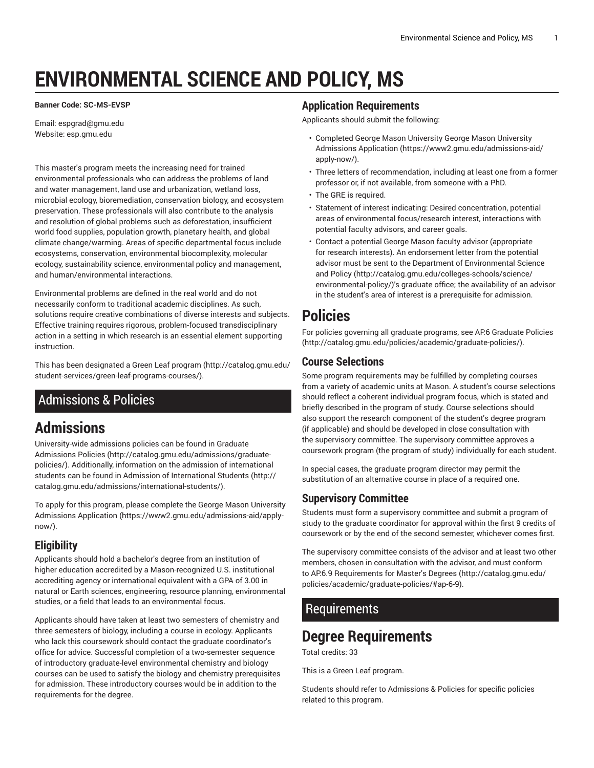# **ENVIRONMENTAL SCIENCE AND POLICY, MS**

#### **Banner Code: SC-MS-EVSP**

Email: [espgrad@gmu.edu](mailto:espgrad@gmu.edu) Website: esp.gmu.edu

This master's program meets the increasing need for trained environmental professionals who can address the problems of land and water management, land use and urbanization, wetland loss, microbial ecology, bioremediation, conservation biology, and ecosystem preservation. These professionals will also contribute to the analysis and resolution of global problems such as deforestation, insufficient world food supplies, population growth, planetary health, and global climate change/warming. Areas of specific departmental focus include ecosystems, conservation, environmental biocomplexity, molecular ecology, sustainability science, environmental policy and management, and human/environmental interactions.

Environmental problems are defined in the real world and do not necessarily conform to traditional academic disciplines. As such, solutions require creative combinations of diverse interests and subjects. Effective training requires rigorous, problem-focused transdisciplinary action in a setting in which research is an essential element supporting instruction.

This has been designated a Green Leaf [program \(http://catalog.gmu.edu/](http://catalog.gmu.edu/student-services/green-leaf-programs-courses/) [student-services/green-leaf-programs-courses/\)](http://catalog.gmu.edu/student-services/green-leaf-programs-courses/).

# <span id="page-0-0"></span>Admissions & Policies

# **Admissions**

University-wide admissions policies can be found in [Graduate](http://catalog.gmu.edu/admissions/graduate-policies/) [Admissions](http://catalog.gmu.edu/admissions/graduate-policies/) Policies [\(http://catalog.gmu.edu/admissions/graduate](http://catalog.gmu.edu/admissions/graduate-policies/)[policies/](http://catalog.gmu.edu/admissions/graduate-policies/)). Additionally, information on the admission of international students can be found in [Admission of International Students \(http://](http://catalog.gmu.edu/admissions/international-students/) [catalog.gmu.edu/admissions/international-students/](http://catalog.gmu.edu/admissions/international-students/)).

To apply for this program, please complete the George Mason [University](https://www2.gmu.edu/admissions-aid/apply-now/) [Admissions Application](https://www2.gmu.edu/admissions-aid/apply-now/) ([https://www2.gmu.edu/admissions-aid/apply](https://www2.gmu.edu/admissions-aid/apply-now/)[now/](https://www2.gmu.edu/admissions-aid/apply-now/)).

### **Eligibility**

Applicants should hold a bachelor's degree from an institution of higher education accredited by a Mason-recognized U.S. institutional accrediting agency or international equivalent with a GPA of 3.00 in natural or Earth sciences, engineering, resource planning, environmental studies, or a field that leads to an environmental focus.

Applicants should have taken at least two semesters of chemistry and three semesters of biology, including a course in ecology. Applicants who lack this coursework should contact the graduate coordinator's office for advice. Successful completion of a two-semester sequence of introductory graduate-level environmental chemistry and biology courses can be used to satisfy the biology and chemistry prerequisites for admission. These introductory courses would be in addition to the requirements for the degree.

#### **Application Requirements**

Applicants should submit the following:

- Completed George Mason University George Mason [University](https://www2.gmu.edu/admissions-aid/apply-now/) [Admissions Application](https://www2.gmu.edu/admissions-aid/apply-now/) [\(https://www2.gmu.edu/admissions-aid/](https://www2.gmu.edu/admissions-aid/apply-now/) [apply-now/\)](https://www2.gmu.edu/admissions-aid/apply-now/).
- Three letters of recommendation, including at least one from a former professor or, if not available, from someone with a PhD.
- The GRE is required.
- Statement of interest indicating: Desired concentration, potential areas of environmental focus/research interest, interactions with potential faculty advisors, and career goals.
- Contact a potential George Mason faculty advisor (appropriate for research interests). An endorsement letter from the potential advisor must be sent to the Department of [Environmental](http://catalog.gmu.edu/colleges-schools/science/environmental-policy/) Science and [Policy \(http://catalog.gmu.edu/colleges-schools/science/](http://catalog.gmu.edu/colleges-schools/science/environmental-policy/) [environmental-policy/\)](http://catalog.gmu.edu/colleges-schools/science/environmental-policy/)'s graduate office; the availability of an advisor in the student's area of interest is a prerequisite for admission.

# **Policies**

For policies governing all graduate programs, see AP.6 [Graduate](http://catalog.gmu.edu/policies/academic/graduate-policies/) Policies [\(http://catalog.gmu.edu/policies/academic/graduate-policies/\)](http://catalog.gmu.edu/policies/academic/graduate-policies/).

### **Course Selections**

Some program requirements may be fulfilled by completing courses from a variety of academic units at Mason. A student's course selections should reflect a coherent individual program focus, which is stated and briefly described in the program of study. Course selections should also support the research component of the student's degree program (if applicable) and should be developed in close consultation with the supervisory committee. The supervisory committee approves a coursework program (the program of study) individually for each student.

In special cases, the graduate program director may permit the substitution of an alternative course in place of a required one.

### **Supervisory Committee**

Students must form a supervisory committee and submit a program of study to the graduate coordinator for approval within the first 9 credits of coursework or by the end of the second semester, whichever comes first.

The supervisory committee consists of the advisor and at least two other members, chosen in consultation with the advisor, and must conform to AP.6.9 [Requirements](http://catalog.gmu.edu/policies/academic/graduate-policies/#ap-6-9) for Master's Degrees ([http://catalog.gmu.edu/](http://catalog.gmu.edu/policies/academic/graduate-policies/#ap-6-9) [policies/academic/graduate-policies/#ap-6-9](http://catalog.gmu.edu/policies/academic/graduate-policies/#ap-6-9)).

### **Requirements**

# **Degree Requirements**

Total credits: 33

This is a Green Leaf program.

Students should refer to [Admissions](#page-0-0) & Policies for specific policies related to this program.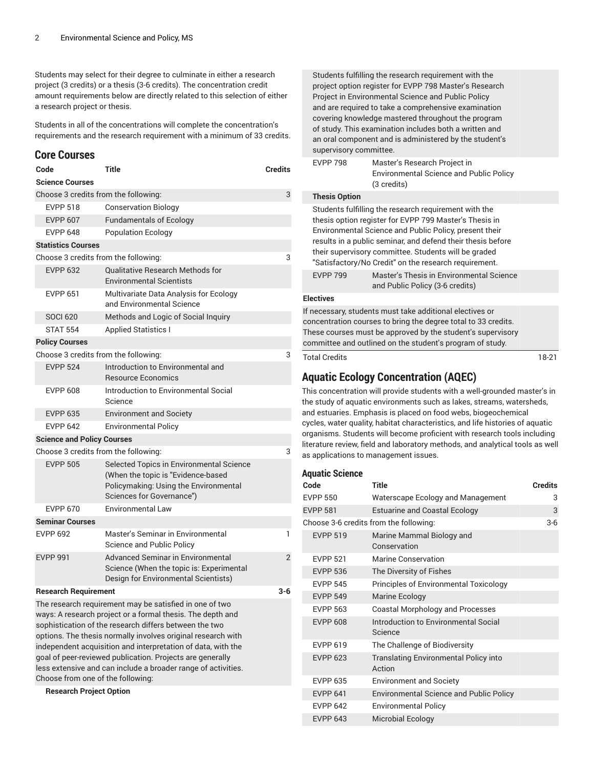Students may select for their degree to culminate in either a research project (3 credits) or a thesis (3-6 credits). The concentration credit amount requirements below are directly related to this selection of either a research project or thesis.

Students in all of the concentrations will complete the concentration's requirements and the research requirement with a minimum of 33 credits.

#### **Core Courses**

| Code                                                                | <b>Title</b>                                                                                                                                                                                                                                                                                                                                                                                                                                  | <b>Credits</b> |  |  |
|---------------------------------------------------------------------|-----------------------------------------------------------------------------------------------------------------------------------------------------------------------------------------------------------------------------------------------------------------------------------------------------------------------------------------------------------------------------------------------------------------------------------------------|----------------|--|--|
| <b>Science Courses</b>                                              |                                                                                                                                                                                                                                                                                                                                                                                                                                               |                |  |  |
| Choose 3 credits from the following:                                |                                                                                                                                                                                                                                                                                                                                                                                                                                               |                |  |  |
| <b>EVPP 518</b>                                                     | <b>Conservation Biology</b>                                                                                                                                                                                                                                                                                                                                                                                                                   |                |  |  |
| <b>EVPP 607</b>                                                     | <b>Fundamentals of Ecology</b>                                                                                                                                                                                                                                                                                                                                                                                                                |                |  |  |
| <b>EVPP 648</b>                                                     | <b>Population Ecology</b>                                                                                                                                                                                                                                                                                                                                                                                                                     |                |  |  |
| <b>Statistics Courses</b>                                           |                                                                                                                                                                                                                                                                                                                                                                                                                                               |                |  |  |
| Choose 3 credits from the following:                                |                                                                                                                                                                                                                                                                                                                                                                                                                                               | 3              |  |  |
| <b>EVPP 632</b>                                                     | <b>Qualitative Research Methods for</b><br><b>Environmental Scientists</b>                                                                                                                                                                                                                                                                                                                                                                    |                |  |  |
| <b>EVPP 651</b>                                                     | Multivariate Data Analysis for Ecology<br>and Environmental Science                                                                                                                                                                                                                                                                                                                                                                           |                |  |  |
| <b>SOCI 620</b>                                                     | Methods and Logic of Social Inquiry                                                                                                                                                                                                                                                                                                                                                                                                           |                |  |  |
| <b>STAT 554</b>                                                     | <b>Applied Statistics I</b>                                                                                                                                                                                                                                                                                                                                                                                                                   |                |  |  |
| <b>Policy Courses</b>                                               |                                                                                                                                                                                                                                                                                                                                                                                                                                               |                |  |  |
| Choose 3 credits from the following:                                |                                                                                                                                                                                                                                                                                                                                                                                                                                               | 3              |  |  |
| <b>EVPP 524</b>                                                     | Introduction to Environmental and<br><b>Resource Economics</b>                                                                                                                                                                                                                                                                                                                                                                                |                |  |  |
| <b>EVPP 608</b>                                                     | Introduction to Environmental Social<br>Science                                                                                                                                                                                                                                                                                                                                                                                               |                |  |  |
| <b>EVPP 635</b>                                                     | <b>Environment and Society</b>                                                                                                                                                                                                                                                                                                                                                                                                                |                |  |  |
| <b>FVPP 642</b>                                                     | <b>Environmental Policy</b>                                                                                                                                                                                                                                                                                                                                                                                                                   |                |  |  |
| <b>Science and Policy Courses</b>                                   |                                                                                                                                                                                                                                                                                                                                                                                                                                               |                |  |  |
| Choose 3 credits from the following:                                |                                                                                                                                                                                                                                                                                                                                                                                                                                               | 3              |  |  |
| <b>EVPP 505</b>                                                     | Selected Topics in Environmental Science<br>(When the topic is "Evidence-based<br>Policymaking: Using the Environmental<br>Sciences for Governance")                                                                                                                                                                                                                                                                                          |                |  |  |
| <b>EVPP 670</b>                                                     | <b>Environmental Law</b>                                                                                                                                                                                                                                                                                                                                                                                                                      |                |  |  |
| <b>Seminar Courses</b>                                              |                                                                                                                                                                                                                                                                                                                                                                                                                                               |                |  |  |
| <b>EVPP 692</b>                                                     | Master's Seminar in Environmental<br>Science and Public Policy                                                                                                                                                                                                                                                                                                                                                                                | 1              |  |  |
| <b>EVPP 991</b>                                                     | Advanced Seminar in Environmental<br>Science (When the topic is: Experimental<br>Design for Environmental Scientists)                                                                                                                                                                                                                                                                                                                         | $\overline{2}$ |  |  |
| <b>Research Requirement</b>                                         |                                                                                                                                                                                                                                                                                                                                                                                                                                               | $3-6$          |  |  |
| Choose from one of the following:<br><b>Research Project Option</b> | The research requirement may be satisfied in one of two<br>ways: A research project or a formal thesis. The depth and<br>sophistication of the research differs between the two<br>options. The thesis normally involves original research with<br>independent acquisition and interpretation of data, with the<br>goal of peer-reviewed publication. Projects are generally<br>less extensive and can include a broader range of activities. |                |  |  |
|                                                                     |                                                                                                                                                                                                                                                                                                                                                                                                                                               |                |  |  |

Students fulfilling the research requirement with the project option register for EVPP 798 Master's Research Project in Environmental Science and Public Policy and are required to take a comprehensive examination covering knowledge mastered throughout the program of study. This examination includes both a written and an oral component and is administered by the student's supervisory committee.

| <b>EVPP 798</b>      | Master's Research Project in                   |
|----------------------|------------------------------------------------|
|                      | <b>Environmental Science and Public Policy</b> |
|                      | (3 credits)                                    |
| <b>Thesis Option</b> |                                                |

Students fulfilling the research requirement with the thesis option register for EVPP 799 Master's Thesis in Environmental Science and Public Policy, present their results in a public seminar, and defend their thesis before their supervisory committee. Students will be graded "Satisfactory/No Credit" on the research requirement.

| EVPP 799 | Master's Thesis in Environmental Science |
|----------|------------------------------------------|
|          | and Public Policy (3-6 credits)          |

#### **Electives**

If necessary, students must take additional electives or concentration courses to bring the degree total to 33 credits. These courses must be approved by the student's supervisory committee and outlined on the student's program of study.

Total Credits 18-21

#### **Aquatic Ecology Concentration (AQEC)**

This concentration will provide students with a well-grounded master's in the study of aquatic environments such as lakes, streams, watersheds, and estuaries. Emphasis is placed on food webs, biogeochemical cycles, water quality, habitat characteristics, and life histories of aquatic organisms. Students will become proficient with research tools including literature review, field and laboratory methods, and analytical tools as well as applications to management issues.

#### **Aquatic Science**

| Code            | Title                                                  | Credits |
|-----------------|--------------------------------------------------------|---------|
| EVPP 550        | Waterscape Ecology and Management                      | 3       |
| <b>EVPP 581</b> | <b>Estuarine and Coastal Ecology</b>                   | 3       |
|                 | Choose 3-6 credits from the following:                 | $3-6$   |
| <b>EVPP 519</b> | Marine Mammal Biology and<br>Conservation              |         |
| <b>EVPP 521</b> | Marine Conservation                                    |         |
| <b>EVPP 536</b> | The Diversity of Fishes                                |         |
| <b>EVPP 545</b> | <b>Principles of Environmental Toxicology</b>          |         |
| <b>EVPP 549</b> | Marine Ecology                                         |         |
| <b>EVPP 563</b> | Coastal Morphology and Processes                       |         |
| <b>EVPP 608</b> | Introduction to Environmental Social<br>Science        |         |
| <b>FVPP 619</b> | The Challenge of Biodiversity                          |         |
| <b>EVPP 623</b> | <b>Translating Environmental Policy into</b><br>Action |         |
| <b>EVPP 635</b> | <b>Environment and Society</b>                         |         |
| <b>EVPP 641</b> | <b>Environmental Science and Public Policy</b>         |         |
| <b>EVPP 642</b> | <b>Environmental Policy</b>                            |         |
| <b>EVPP 643</b> | <b>Microbial Ecology</b>                               |         |
|                 |                                                        |         |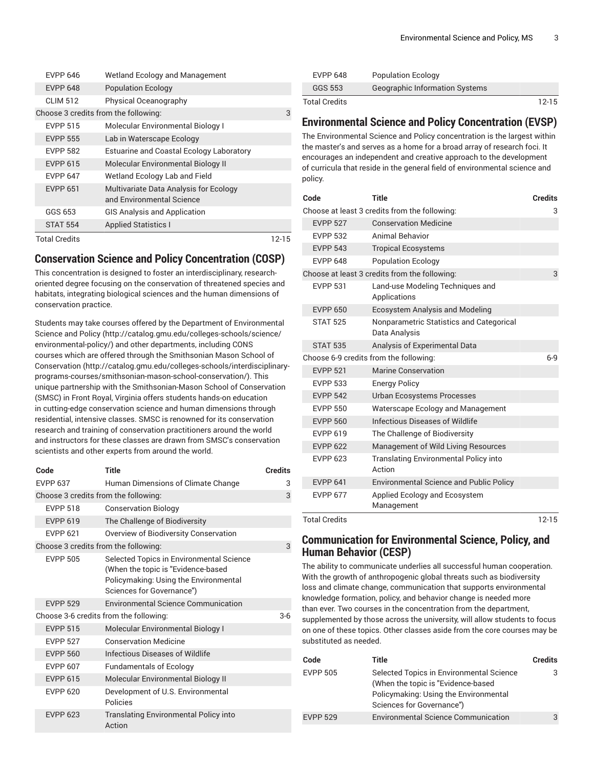| <b>EVPP 646</b>                      | Wetland Ecology and Management                                      |       |
|--------------------------------------|---------------------------------------------------------------------|-------|
| <b>EVPP 648</b>                      | <b>Population Ecology</b>                                           |       |
| <b>CLIM 512</b>                      | Physical Oceanography                                               |       |
| Choose 3 credits from the following: |                                                                     | 3     |
| <b>EVPP 515</b>                      | Molecular Environmental Biology I                                   |       |
| <b>EVPP 555</b>                      | Lab in Waterscape Ecology                                           |       |
| <b>EVPP 582</b>                      | Estuarine and Coastal Ecology Laboratory                            |       |
| <b>EVPP 615</b>                      | Molecular Environmental Biology II                                  |       |
| <b>FVPP 647</b>                      | Wetland Ecology Lab and Field                                       |       |
| <b>EVPP 651</b>                      | Multivariate Data Analysis for Ecology<br>and Environmental Science |       |
| GGS 653                              | <b>GIS Analysis and Application</b>                                 |       |
| <b>STAT 554</b>                      | <b>Applied Statistics I</b>                                         |       |
| <b>Total Credits</b>                 |                                                                     | 12-15 |

#### **Conservation Science and Policy Concentration (COSP)**

This concentration is designed to foster an interdisciplinary, researchoriented degree focusing on the conservation of threatened species and habitats, integrating biological sciences and the human dimensions of conservation practice.

Students may take courses offered by the Department of [Environmental](http://catalog.gmu.edu/colleges-schools/science/environmental-policy/) [Science](http://catalog.gmu.edu/colleges-schools/science/environmental-policy/) and Policy [\(http://catalog.gmu.edu/colleges-schools/science/](http://catalog.gmu.edu/colleges-schools/science/environmental-policy/) [environmental-policy/](http://catalog.gmu.edu/colleges-schools/science/environmental-policy/)) and other departments, including CONS courses which are offered through the [Smithsonian Mason School of](http://catalog.gmu.edu/colleges-schools/interdisciplinary-programs-courses/smithsonian-mason-school-conservation/) [Conservation \(http://catalog.gmu.edu/colleges-schools/interdisciplinary](http://catalog.gmu.edu/colleges-schools/interdisciplinary-programs-courses/smithsonian-mason-school-conservation/)[programs-courses/smithsonian-mason-school-conservation/\)](http://catalog.gmu.edu/colleges-schools/interdisciplinary-programs-courses/smithsonian-mason-school-conservation/). This unique partnership with the Smithsonian-Mason School of Conservation (SMSC) in Front Royal, Virginia offers students hands-on education in cutting-edge conservation science and human dimensions through residential, intensive classes. SMSC is renowned for its conservation research and training of conservation practitioners around the world and instructors for these classes are drawn from SMSC's conservation scientists and other experts from around the world.

| Code                                 | Title                                                                                                                                                | <b>Credits</b> |
|--------------------------------------|------------------------------------------------------------------------------------------------------------------------------------------------------|----------------|
| <b>EVPP 637</b>                      | Human Dimensions of Climate Change                                                                                                                   | 3              |
| Choose 3 credits from the following: |                                                                                                                                                      | 3              |
| <b>EVPP 518</b>                      | <b>Conservation Biology</b>                                                                                                                          |                |
| <b>EVPP 619</b>                      | The Challenge of Biodiversity                                                                                                                        |                |
| <b>EVPP 621</b>                      | Overview of Biodiversity Conservation                                                                                                                |                |
| Choose 3 credits from the following: |                                                                                                                                                      | 3              |
| <b>EVPP 505</b>                      | Selected Topics in Environmental Science<br>(When the topic is "Evidence-based<br>Policymaking: Using the Environmental<br>Sciences for Governance") |                |
| <b>EVPP 529</b>                      | <b>Environmental Science Communication</b>                                                                                                           |                |
|                                      | Choose 3-6 credits from the following:                                                                                                               | $3-6$          |
| <b>EVPP 515</b>                      | Molecular Environmental Biology I                                                                                                                    |                |
| <b>FVPP 527</b>                      | <b>Conservation Medicine</b>                                                                                                                         |                |
| <b>EVPP 560</b>                      | Infectious Diseases of Wildlife                                                                                                                      |                |
| <b>FVPP 607</b>                      | <b>Fundamentals of Ecology</b>                                                                                                                       |                |
| <b>EVPP 615</b>                      | Molecular Environmental Biology II                                                                                                                   |                |
| <b>FVPP 620</b>                      | Development of U.S. Environmental<br>Policies                                                                                                        |                |
| <b>EVPP 623</b>                      | <b>Translating Environmental Policy into</b><br>Action                                                                                               |                |

| <b>EVPP 648</b> | <b>Population Ecology</b>             |           |
|-----------------|---------------------------------------|-----------|
| GGS 553         | <b>Geographic Information Systems</b> |           |
| Total Credits   |                                       | $12 - 15$ |

#### **Environmental Science and Policy Concentration (EVSP)**

The Environmental Science and Policy concentration is the largest within the master's and serves as a home for a broad array of research foci. It encourages an independent and creative approach to the development of curricula that reside in the general field of environmental science and policy.

| Code                                   | <b>Title</b>                                              | <b>Credits</b> |
|----------------------------------------|-----------------------------------------------------------|----------------|
|                                        | Choose at least 3 credits from the following:             | 3              |
| <b>EVPP 527</b>                        | <b>Conservation Medicine</b>                              |                |
| <b>EVPP 532</b>                        | Animal Behavior                                           |                |
| <b>EVPP 543</b>                        | <b>Tropical Ecosystems</b>                                |                |
| <b>FVPP 648</b>                        | <b>Population Ecology</b>                                 |                |
|                                        | Choose at least 3 credits from the following:             | 3              |
| <b>EVPP 531</b>                        | Land-use Modeling Techniques and<br>Applications          |                |
| <b>EVPP 650</b>                        | <b>Ecosystem Analysis and Modeling</b>                    |                |
| <b>STAT 525</b>                        | Nonparametric Statistics and Categorical<br>Data Analysis |                |
| <b>STAT 535</b>                        | Analysis of Experimental Data                             |                |
| Choose 6-9 credits from the following: |                                                           | $6 - 9$        |
| <b>EVPP 521</b>                        | <b>Marine Conservation</b>                                |                |
| <b>EVPP 533</b>                        | <b>Energy Policy</b>                                      |                |
| <b>EVPP 542</b>                        | <b>Urban Ecosystems Processes</b>                         |                |
| <b>EVPP 550</b>                        | Waterscape Ecology and Management                         |                |
| <b>EVPP 560</b>                        | Infectious Diseases of Wildlife                           |                |
| <b>EVPP 619</b>                        | The Challenge of Biodiversity                             |                |
| <b>EVPP 622</b>                        | Management of Wild Living Resources                       |                |
| <b>EVPP 623</b>                        | <b>Translating Environmental Policy into</b><br>Action    |                |
| <b>EVPP 641</b>                        | <b>Environmental Science and Public Policy</b>            |                |
| <b>EVPP 677</b>                        | Applied Ecology and Ecosystem<br>Management               |                |
| <b>Total Credits</b>                   |                                                           | $12 - 15$      |

#### **Communication for Environmental Science, Policy, and Human Behavior (CESP)**

The ability to communicate underlies all successful human cooperation. With the growth of anthropogenic global threats such as biodiversity loss and climate change, communication that supports environmental knowledge formation, policy, and behavior change is needed more than ever. Two courses in the concentration from the department, supplemented by those across the university, will allow students to focus on one of these topics. Other classes aside from the core courses may be substituted as needed.

| Code            | Title                                                                                                                                                | <b>Credits</b> |
|-----------------|------------------------------------------------------------------------------------------------------------------------------------------------------|----------------|
| <b>EVPP 505</b> | Selected Topics in Environmental Science<br>(When the topic is "Evidence-based<br>Policymaking: Using the Environmental<br>Sciences for Governance") | 3              |
| <b>FVPP 529</b> | <b>Environmental Science Communication</b>                                                                                                           | R              |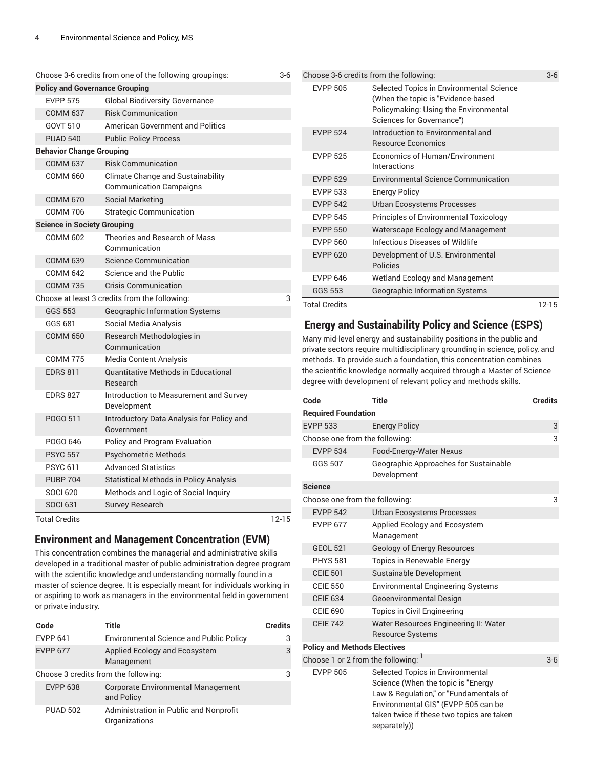| Choose 3-6 credits from one of the following groupings: |                                                        | $3-6$                                                                                                                                    |                                                                    | Choose 3-6 credits from the following:                                      | $3-6$          |
|---------------------------------------------------------|--------------------------------------------------------|------------------------------------------------------------------------------------------------------------------------------------------|--------------------------------------------------------------------|-----------------------------------------------------------------------------|----------------|
| <b>Policy and Governance Grouping</b>                   |                                                        |                                                                                                                                          | <b>EVPP 505</b>                                                    | Selected Topics in Environmental Science                                    |                |
| <b>EVPP 575</b>                                         | <b>Global Biodiversity Governance</b>                  |                                                                                                                                          |                                                                    | (When the topic is "Evidence-based                                          |                |
| <b>COMM 637</b>                                         | <b>Risk Communication</b>                              |                                                                                                                                          |                                                                    | Policymaking: Using the Environmental<br>Sciences for Governance")          |                |
| <b>GOVT 510</b>                                         | <b>American Government and Politics</b>                |                                                                                                                                          | <b>EVPP 524</b>                                                    | Introduction to Environmental and                                           |                |
| <b>PUAD 540</b>                                         | <b>Public Policy Process</b>                           |                                                                                                                                          |                                                                    | <b>Resource Economics</b>                                                   |                |
| <b>Behavior Change Grouping</b>                         |                                                        |                                                                                                                                          | <b>EVPP 525</b>                                                    | <b>Economics of Human/Environment</b>                                       |                |
| <b>COMM 637</b>                                         | <b>Risk Communication</b>                              |                                                                                                                                          |                                                                    | Interactions                                                                |                |
| <b>COMM 660</b>                                         | Climate Change and Sustainability                      |                                                                                                                                          | <b>EVPP 529</b>                                                    | <b>Environmental Science Communication</b>                                  |                |
|                                                         | <b>Communication Campaigns</b>                         |                                                                                                                                          | <b>EVPP 533</b>                                                    | <b>Energy Policy</b>                                                        |                |
| <b>COMM 670</b>                                         | <b>Social Marketing</b>                                |                                                                                                                                          | <b>EVPP 542</b>                                                    | Urban Ecosystems Processes                                                  |                |
| <b>COMM 706</b>                                         | <b>Strategic Communication</b>                         |                                                                                                                                          | <b>EVPP 545</b>                                                    | Principles of Environmental Toxicology                                      |                |
| <b>Science in Society Grouping</b>                      |                                                        |                                                                                                                                          | <b>EVPP 550</b>                                                    | Waterscape Ecology and Management                                           |                |
| <b>COMM 602</b>                                         | Theories and Research of Mass<br>Communication         |                                                                                                                                          | <b>EVPP 560</b>                                                    | Infectious Diseases of Wildlife                                             |                |
| <b>COMM 639</b>                                         | <b>Science Communication</b>                           |                                                                                                                                          | <b>EVPP 620</b>                                                    | Development of U.S. Environmental                                           |                |
| <b>COMM 642</b>                                         | Science and the Public                                 |                                                                                                                                          |                                                                    | Policies                                                                    |                |
| <b>COMM 735</b>                                         | <b>Crisis Communication</b>                            |                                                                                                                                          | <b>EVPP 646</b>                                                    | Wetland Ecology and Management                                              |                |
|                                                         | Choose at least 3 credits from the following:          | 3                                                                                                                                        | <b>GGS 553</b>                                                     | <b>Geographic Information Systems</b>                                       |                |
| <b>GGS 553</b>                                          | Geographic Information Systems                         |                                                                                                                                          | <b>Total Credits</b>                                               |                                                                             | $12 - 15$      |
| GGS 681                                                 | Social Media Analysis                                  |                                                                                                                                          |                                                                    | <b>Energy and Sustainability Policy and Science (ESPS)</b>                  |                |
| <b>COMM 650</b>                                         | Research Methodologies in                              |                                                                                                                                          |                                                                    | Many mid-level energy and sustainability positions in the public and        |                |
|                                                         | Communication                                          |                                                                                                                                          |                                                                    | private sectors require multidisciplinary grounding in science, policy, and |                |
| <b>COMM 775</b>                                         | <b>Media Content Analysis</b>                          |                                                                                                                                          | methods. To provide such a foundation, this concentration combines |                                                                             |                |
| <b>EDRS 811</b>                                         | <b>Quantitative Methods in Educational</b><br>Research | the scientific knowledge normally acquired through a Master of Science<br>degree with development of relevant policy and methods skills. |                                                                    |                                                                             |                |
| <b>EDRS 827</b>                                         | Introduction to Measurement and Survey<br>Development  |                                                                                                                                          | Code                                                               | <b>Title</b>                                                                | <b>Credits</b> |
| POGO 511                                                | Introductory Data Analysis for Policy and              |                                                                                                                                          | <b>Required Foundation</b>                                         |                                                                             |                |
|                                                         | Government                                             |                                                                                                                                          | <b>EVPP 533</b>                                                    | <b>Energy Policy</b>                                                        | 3              |
| POGO 646                                                | Policy and Program Evaluation                          |                                                                                                                                          | Choose one from the following:                                     |                                                                             | 3              |
| <b>PSYC 557</b>                                         | <b>Psychometric Methods</b>                            |                                                                                                                                          | <b>EVPP 534</b>                                                    | Food-Energy-Water Nexus                                                     |                |
| <b>PSYC 611</b>                                         | <b>Advanced Statistics</b>                             |                                                                                                                                          | <b>GGS 507</b>                                                     | Geographic Approaches for Sustainable                                       |                |
| <b>PUBP 704</b>                                         | <b>Statistical Methods in Policy Analysis</b>          |                                                                                                                                          |                                                                    | Development                                                                 |                |
| <b>SOCI 620</b>                                         | Methods and Logic of Social Inquiry                    |                                                                                                                                          | <b>Science</b>                                                     |                                                                             |                |
| <b>SOCI 631</b>                                         | Survey Research                                        |                                                                                                                                          | Choose one from the following:                                     |                                                                             | 3              |
|                                                         |                                                        |                                                                                                                                          | <b>EVPP 542</b>                                                    | <b>Urban Ecosystems Processes</b>                                           |                |

EVPP 677 Applied Ecology and Ecosystem Management GEOL 521 Geology of Energy Resources PHYS 581 Topics in Renewable Energy CEIE 501 Sustainable Development

CEIE 550 Environmental Engineering Systems

CEIE 742 Water Resources Engineering II: Water Resource Systems

EVPP 505 Selected Topics in Environmental

separately))

Science (When the topic is "Energy Law & Regulation," or "Fundamentals of Environmental GIS" (EVPP 505 can be taken twice if these two topics are taken

CEIE 634 Geoenvironmental Design CEIE 690 Topics in Civil Engineering

**Policy and Methods Electives** Choose 1 or 2 from the following: 1

Total Credits 12-15

#### **Environment and Management Concentration (EVM)**

This concentration combines the managerial and administrative skills developed in a traditional master of public administration degree program with the scientific knowledge and understanding normally found in a master of science degree. It is especially meant for individuals working in or aspiring to work as managers in the environmental field in government or private industry.

| Code            | Title                                                   | <b>Credits</b> |
|-----------------|---------------------------------------------------------|----------------|
| <b>EVPP 641</b> | <b>Environmental Science and Public Policy</b>          | 3              |
| <b>EVPP 677</b> | Applied Ecology and Ecosystem<br>Management             | 3              |
|                 | Choose 3 credits from the following:                    | 3              |
| <b>EVPP 638</b> | <b>Corporate Environmental Management</b><br>and Policy |                |
| <b>PUAD 502</b> | Administration in Public and Nonprofit<br>Organizations |                |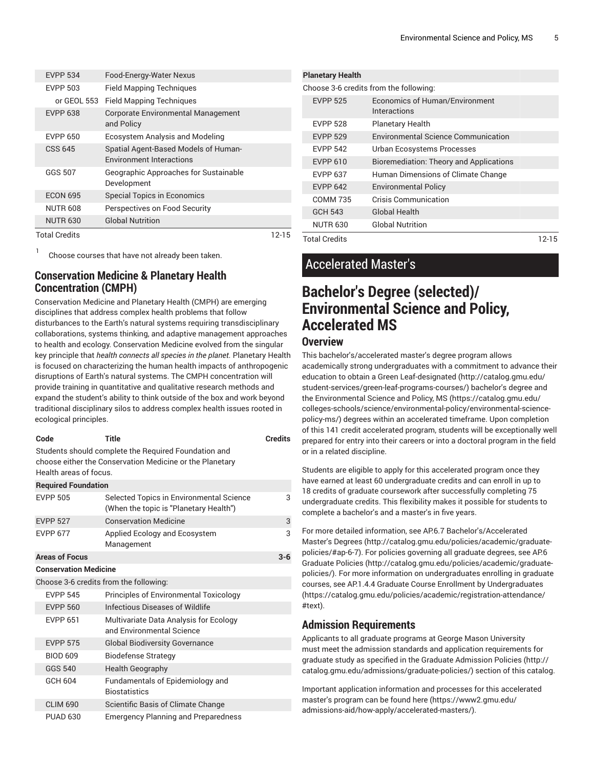| <b>EVPP 534</b>      | Food-Energy-Water Nexus                                                 |       |
|----------------------|-------------------------------------------------------------------------|-------|
| <b>EVPP 503</b>      | <b>Field Mapping Techniques</b>                                         |       |
| or GEOL 553          | <b>Field Mapping Techniques</b>                                         |       |
| <b>EVPP 638</b>      | <b>Corporate Environmental Management</b><br>and Policy                 |       |
| <b>EVPP 650</b>      | Ecosystem Analysis and Modeling                                         |       |
| CSS 645              | Spatial Agent-Based Models of Human-<br><b>Environment Interactions</b> |       |
| GGS 507              | Geographic Approaches for Sustainable<br>Development                    |       |
| <b>ECON 695</b>      | <b>Special Topics in Economics</b>                                      |       |
| <b>NUTR 608</b>      | Perspectives on Food Security                                           |       |
| <b>NUTR 630</b>      | <b>Global Nutrition</b>                                                 |       |
| <b>Total Credits</b> |                                                                         | 12-15 |

1 Choose courses that have not already been taken.

### **Conservation Medicine & Planetary Health Concentration (CMPH)**

Conservation Medicine and Planetary Health (CMPH) are emerging disciplines that address complex health problems that follow disturbances to the Earth's natural systems requiring transdisciplinary collaborations, systems thinking, and adaptive management approaches to health and ecology. Conservation Medicine evolved from the singular key principle that *health connects all species in the planet.* Planetary Health is focused on characterizing the human health impacts of anthropogenic disruptions of Earth's natural systems. The CMPH concentration will provide training in quantitative and qualitative research methods and expand the student's ability to think outside of the box and work beyond traditional disciplinary silos to address complex health issues rooted in ecological principles.

| Code                                                                                                                                       | Title                                                                              | <b>Credits</b> |  |  |
|--------------------------------------------------------------------------------------------------------------------------------------------|------------------------------------------------------------------------------------|----------------|--|--|
| Students should complete the Required Foundation and<br>choose either the Conservation Medicine or the Planetary<br>Health areas of focus. |                                                                                    |                |  |  |
| <b>Required Foundation</b>                                                                                                                 |                                                                                    |                |  |  |
| <b>EVPP 505</b>                                                                                                                            | Selected Topics in Environmental Science<br>(When the topic is "Planetary Health") | 3              |  |  |
| <b>EVPP 527</b>                                                                                                                            | <b>Conservation Medicine</b>                                                       | 3              |  |  |
| <b>EVPP 677</b>                                                                                                                            | Applied Ecology and Ecosystem<br>Management                                        | 3              |  |  |
| <b>Areas of Focus</b>                                                                                                                      |                                                                                    | $3-6$          |  |  |

```
Conservation Medicine
```
Choose 3-6 credits from the following:

| <b>EVPP 545</b> | Principles of Environmental Toxicology                              |
|-----------------|---------------------------------------------------------------------|
| <b>EVPP 560</b> | Infectious Diseases of Wildlife                                     |
| <b>EVPP 651</b> | Multivariate Data Analysis for Ecology<br>and Environmental Science |
| <b>EVPP 575</b> | <b>Global Biodiversity Governance</b>                               |
| <b>BIOD 609</b> | Biodefense Strategy                                                 |
| GGS 540         | <b>Health Geography</b>                                             |
| GCH 604         | Fundamentals of Epidemiology and<br><b>Biostatistics</b>            |
| <b>CLIM 690</b> | Scientific Basis of Climate Change                                  |
| <b>PUAD 630</b> | <b>Emergency Planning and Preparedness</b>                          |

| <b>Planetary Health</b> |                                                       |  |  |  |  |
|-------------------------|-------------------------------------------------------|--|--|--|--|
|                         | Choose 3-6 credits from the following:                |  |  |  |  |
| <b>EVPP 525</b>         | <b>Economics of Human/Environment</b><br>Interactions |  |  |  |  |
| <b>EVPP 528</b>         | <b>Planetary Health</b>                               |  |  |  |  |
| <b>EVPP 529</b>         | <b>Environmental Science Communication</b>            |  |  |  |  |
| <b>EVPP 542</b>         | Urban Ecosystems Processes                            |  |  |  |  |
| <b>EVPP 610</b>         | <b>Bioremediation: Theory and Applications</b>        |  |  |  |  |
| <b>FVPP 637</b>         | Human Dimensions of Climate Change                    |  |  |  |  |
| <b>EVPP 642</b>         | <b>Environmental Policy</b>                           |  |  |  |  |
| <b>COMM 735</b>         | Crisis Communication                                  |  |  |  |  |
| <b>GCH 543</b>          | <b>Global Health</b>                                  |  |  |  |  |
| <b>NUTR 630</b>         | <b>Global Nutrition</b>                               |  |  |  |  |
| <b>Total Credits</b>    |                                                       |  |  |  |  |

### Accelerated Master's

### **Bachelor's Degree (selected)/ Environmental Science and Policy, Accelerated MS**

#### **Overview**

This bachelor's/accelerated master's degree program allows academically strong undergraduates with a commitment to advance their education to obtain a Green [Leaf-designated \(http://catalog.gmu.edu/](http://catalog.gmu.edu/student-services/green-leaf-programs-courses/) [student-services/green-leaf-programs-courses/](http://catalog.gmu.edu/student-services/green-leaf-programs-courses/)) bachelor's degree and the [Environmental](https://catalog.gmu.edu/colleges-schools/science/environmental-policy/environmental-science-policy-ms/) Science and Policy, MS [\(https://catalog.gmu.edu/](https://catalog.gmu.edu/colleges-schools/science/environmental-policy/environmental-science-policy-ms/) [colleges-schools/science/environmental-policy/environmental-science](https://catalog.gmu.edu/colleges-schools/science/environmental-policy/environmental-science-policy-ms/)[policy-ms/](https://catalog.gmu.edu/colleges-schools/science/environmental-policy/environmental-science-policy-ms/)) degrees within an accelerated timeframe. Upon completion of this 141 credit accelerated program, students will be exceptionally well prepared for entry into their careers or into a doctoral program in the field or in a related discipline.

Students are eligible to apply for this accelerated program once they have earned at least 60 undergraduate credits and can enroll in up to 18 credits of graduate coursework after successfully completing 75 undergraduate credits. This flexibility makes it possible for students to complete a bachelor's and a master's in five years.

For more detailed information, see AP.6.7 [Bachelor's/Accelerated](http://catalog.gmu.edu/policies/academic/graduate-policies/#ap-6-7) [Master's](http://catalog.gmu.edu/policies/academic/graduate-policies/#ap-6-7) Degrees [\(http://catalog.gmu.edu/policies/academic/graduate](http://catalog.gmu.edu/policies/academic/graduate-policies/#ap-6-7)[policies/#ap-6-7\)](http://catalog.gmu.edu/policies/academic/graduate-policies/#ap-6-7). For policies governing all graduate degrees, see [AP.6](http://catalog.gmu.edu/policies/academic/graduate-policies/) [Graduate](http://catalog.gmu.edu/policies/academic/graduate-policies/) Policies [\(http://catalog.gmu.edu/policies/academic/graduate](http://catalog.gmu.edu/policies/academic/graduate-policies/)[policies/](http://catalog.gmu.edu/policies/academic/graduate-policies/)). For more information on undergraduates enrolling in graduate courses, see AP.1.4.4 Graduate Course Enrollment by [Undergraduates](https://catalog.gmu.edu/policies/academic/registration-attendance/#text) [\(https://catalog.gmu.edu/policies/academic/registration-attendance/](https://catalog.gmu.edu/policies/academic/registration-attendance/#text) [#text](https://catalog.gmu.edu/policies/academic/registration-attendance/#text)).

#### **Admission Requirements**

Applicants to all graduate programs at George Mason University must meet the admission standards and application requirements for graduate study as specified in the Graduate [Admission](http://catalog.gmu.edu/admissions/graduate-policies/) Policies ([http://](http://catalog.gmu.edu/admissions/graduate-policies/) [catalog.gmu.edu/admissions/graduate-policies/\)](http://catalog.gmu.edu/admissions/graduate-policies/) section of this catalog.

Important application information and processes for this accelerated master's program can be found [here](https://www2.gmu.edu/admissions-aid/how-apply/accelerated-masters/) ([https://www2.gmu.edu/](https://www2.gmu.edu/admissions-aid/how-apply/accelerated-masters/) [admissions-aid/how-apply/accelerated-masters/](https://www2.gmu.edu/admissions-aid/how-apply/accelerated-masters/)).